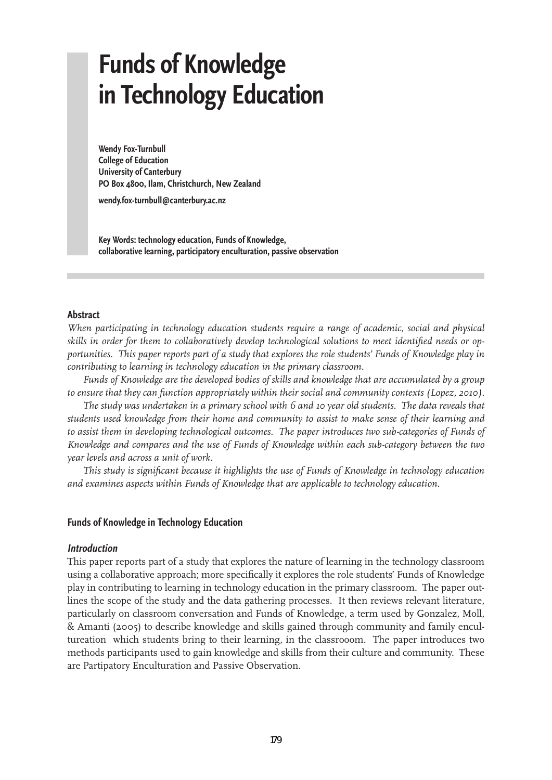# **Funds of Knowledge in Technology Education**

**Wendy Fox-Turnbull College of Education University of Canterbury PO Box 4800, Ilam, Christchurch, New Zealand**

**wendy.fox-turnbull@canterbury.ac.nz**

**Key Words: technology education, Funds of Knowledge, collaborative learning, participatory enculturation, passive observation**

#### **Abstract**

*When participating in technology education students require a range of academic, social and physical skills in order for them to collaboratively develop technological solutions to meet identified needs or opportunities. This paper reports part of a study that explores the role students' Funds of Knowledge play in contributing to learning in technology education in the primary classroom.* 

*Funds of Knowledge are the developed bodies of skills and knowledge that are accumulated by a group to ensure that they can function appropriately within their social and community contexts (Lopez, 2010).* 

*The study was undertaken in a primary school with 6 and 10 year old students. The data reveals that students used knowledge from their home and community to assist to make sense of their learning and to assist them in developing technological outcomes. The paper introduces two sub-categories of Funds of Knowledge and compares and the use of Funds of Knowledge within each sub-category between the two year levels and across a unit of work.*

*This study is significant because it highlights the use of Funds of Knowledge in technology education and examines aspects within Funds of Knowledge that are applicable to technology education.*

### **Funds of Knowledge in Technology Education**

#### **Introduction**

This paper reports part of a study that explores the nature of learning in the technology classroom using a collaborative approach; more specifically it explores the role students' Funds of Knowledge play in contributing to learning in technology education in the primary classroom. The paper outlines the scope of the study and the data gathering processes. It then reviews relevant literature, particularly on classroom conversation and Funds of Knowledge, a term used by Gonzalez, Moll, & Amanti (2005) to describe knowledge and skills gained through community and family encultureation which students bring to their learning, in the classrooom. The paper introduces two methods participants used to gain knowledge and skills from their culture and community. These are Partipatory Enculturation and Passive Observation.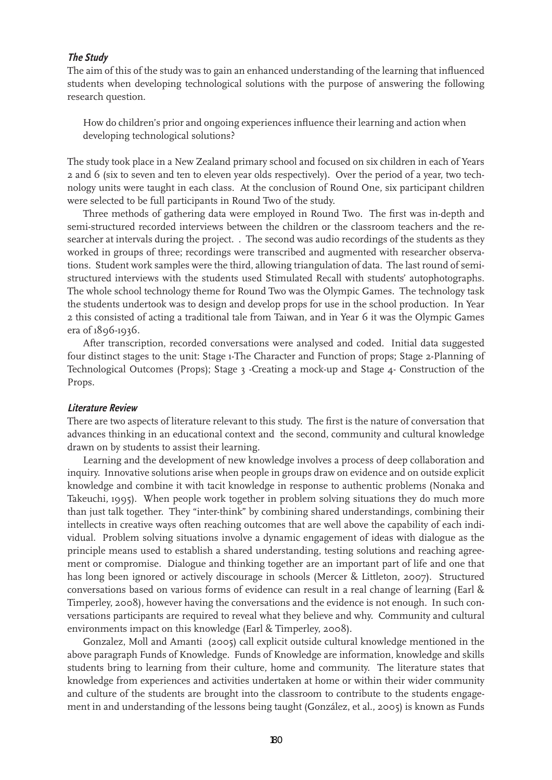#### **The Study**

The aim of this of the study was to gain an enhanced understanding of the learning that influenced students when developing technological solutions with the purpose of answering the following research question.

How do children's prior and ongoing experiences influence their learning and action when developing technological solutions?

The study took place in a New Zealand primary school and focused on six children in each of Years 2 and 6 (six to seven and ten to eleven year olds respectively). Over the period of a year, two technology units were taught in each class. At the conclusion of Round One, six participant children were selected to be full participants in Round Two of the study.

Three methods of gathering data were employed in Round Two. The first was in-depth and semi-structured recorded interviews between the children or the classroom teachers and the researcher at intervals during the project. . The second was audio recordings of the students as they worked in groups of three; recordings were transcribed and augmented with researcher observations. Student work samples were the third, allowing triangulation of data. The last round of semistructured interviews with the students used Stimulated Recall with students' autophotographs. The whole school technology theme for Round Two was the Olympic Games. The technology task the students undertook was to design and develop props for use in the school production. In Year 2 this consisted of acting a traditional tale from Taiwan, and in Year 6 it was the Olympic Games era of 1896-1936.

After transcription, recorded conversations were analysed and coded. Initial data suggested four distinct stages to the unit: Stage 1-The Character and Function of props; Stage 2-Planning of Technological Outcomes (Props); Stage 3 -Creating a mock-up and Stage 4- Construction of the Props.

#### **Literature Review**

There are two aspects of literature relevant to this study. The first is the nature of conversation that advances thinking in an educational context and the second, community and cultural knowledge drawn on by students to assist their learning.

Learning and the development of new knowledge involves a process of deep collaboration and inquiry. Innovative solutions arise when people in groups draw on evidence and on outside explicit knowledge and combine it with tacit knowledge in response to authentic problems (Nonaka and Takeuchi, 1995). When people work together in problem solving situations they do much more than just talk together. They "inter-think" by combining shared understandings, combining their intellects in creative ways often reaching outcomes that are well above the capability of each individual. Problem solving situations involve a dynamic engagement of ideas with dialogue as the principle means used to establish a shared understanding, testing solutions and reaching agreement or compromise. Dialogue and thinking together are an important part of life and one that has long been ignored or actively discourage in schools (Mercer & Littleton, 2007). Structured conversations based on various forms of evidence can result in a real change of learning (Earl & Timperley, 2008), however having the conversations and the evidence is not enough. In such conversations participants are required to reveal what they believe and why. Community and cultural environments impact on this knowledge (Earl & Timperley, 2008).

Gonzalez, Moll and Amanti (2005) call explicit outside cultural knowledge mentioned in the above paragraph Funds of Knowledge. Funds of Knowledge are information, knowledge and skills students bring to learning from their culture, home and community. The literature states that knowledge from experiences and activities undertaken at home or within their wider community and culture of the students are brought into the classroom to contribute to the students engagement in and understanding of the lessons being taught (González, et al., 2005) is known as Funds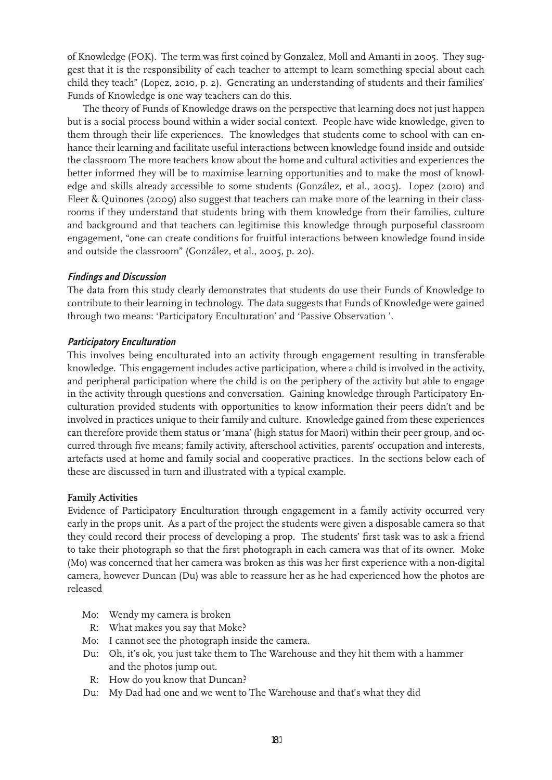of Knowledge (FOK). The term was first coined by Gonzalez, Moll and Amanti in 2005. They suggest that it is the responsibility of each teacher to attempt to learn something special about each child they teach" (Lopez, 2010, p. 2). Generating an understanding of students and their families' Funds of Knowledge is one way teachers can do this.

The theory of Funds of Knowledge draws on the perspective that learning does not just happen but is a social process bound within a wider social context. People have wide knowledge, given to them through their life experiences. The knowledges that students come to school with can enhance their learning and facilitate useful interactions between knowledge found inside and outside the classroom The more teachers know about the home and cultural activities and experiences the better informed they will be to maximise learning opportunities and to make the most of knowledge and skills already accessible to some students (González, et al., 2005). Lopez (2010) and Fleer & Quinones (2009) also suggest that teachers can make more of the learning in their classrooms if they understand that students bring with them knowledge from their families, culture and background and that teachers can legitimise this knowledge through purposeful classroom engagement, "one can create conditions for fruitful interactions between knowledge found inside and outside the classroom" (González, et al., 2005, p. 20).

### **Findings and Discussion**

The data from this study clearly demonstrates that students do use their Funds of Knowledge to contribute to their learning in technology. The data suggests that Funds of Knowledge were gained through two means: 'Participatory Enculturation' and 'Passive Observation '.

## **Participatory Enculturation**

This involves being enculturated into an activity through engagement resulting in transferable knowledge. This engagement includes active participation, where a child is involved in the activity, and peripheral participation where the child is on the periphery of the activity but able to engage in the activity through questions and conversation. Gaining knowledge through Participatory Enculturation provided students with opportunities to know information their peers didn't and be involved in practices unique to their family and culture. Knowledge gained from these experiences can therefore provide them status or 'mana' (high status for Maori) within their peer group, and occurred through five means; family activity, afterschool activities, parents' occupation and interests, artefacts used at home and family social and cooperative practices. In the sections below each of these are discussed in turn and illustrated with a typical example.

### **Family Activities**

Evidence of Participatory Enculturation through engagement in a family activity occurred very early in the props unit. As a part of the project the students were given a disposable camera so that they could record their process of developing a prop. The students' first task was to ask a friend to take their photograph so that the first photograph in each camera was that of its owner. Moke (Mo) was concerned that her camera was broken as this was her first experience with a non-digital camera, however Duncan (Du) was able to reassure her as he had experienced how the photos are released

- Mo: Wendy my camera is broken
- R: What makes you say that Moke?
- Mo: I cannot see the photograph inside the camera.
- Du: Oh, it's ok, you just take them to The Warehouse and they hit them with a hammer and the photos jump out.
- R: How do you know that Duncan?
- Du: My Dad had one and we went to The Warehouse and that's what they did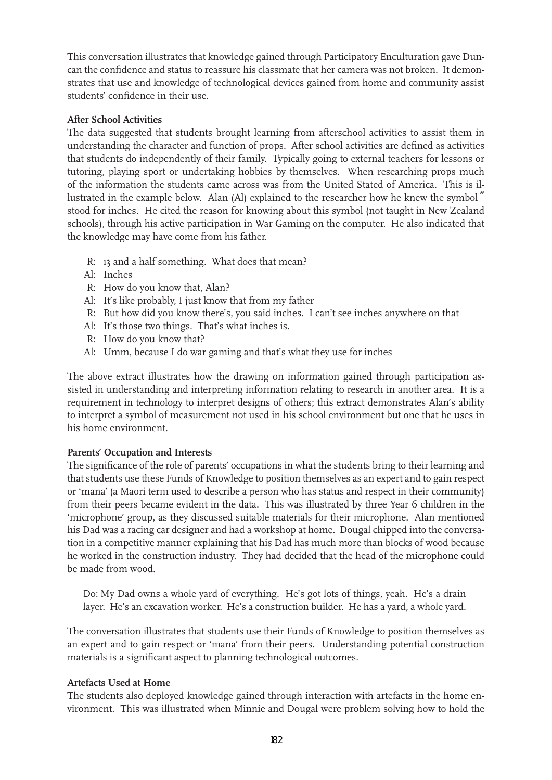This conversation illustrates that knowledge gained through Participatory Enculturation gave Duncan the confidence and status to reassure his classmate that her camera was not broken. It demonstrates that use and knowledge of technological devices gained from home and community assist students' confidence in their use.

## **After School Activities**

The data suggested that students brought learning from afterschool activities to assist them in understanding the character and function of props. After school activities are defined as activities that students do independently of their family. Typically going to external teachers for lessons or tutoring, playing sport or undertaking hobbies by themselves. When researching props much of the information the students came across was from the United Stated of America. This is illustrated in the example below. Alan (Al) explained to the researcher how he knew the symbol<sup>"</sup> stood for inches. He cited the reason for knowing about this symbol (not taught in New Zealand schools), through his active participation in War Gaming on the computer. He also indicated that the knowledge may have come from his father.

- R: 13 and a half something. What does that mean?
- Al: Inches
- R: How do you know that, Alan?
- Al: It's like probably, I just know that from my father
- R: But how did you know there's, you said inches. I can't see inches anywhere on that
- Al: It's those two things. That's what inches is.
- R: How do you know that?
- Al: Umm, because I do war gaming and that's what they use for inches

The above extract illustrates how the drawing on information gained through participation assisted in understanding and interpreting information relating to research in another area. It is a requirement in technology to interpret designs of others; this extract demonstrates Alan's ability to interpret a symbol of measurement not used in his school environment but one that he uses in his home environment.

# **Parents' Occupation and Interests**

The significance of the role of parents' occupations in what the students bring to their learning and that students use these Funds of Knowledge to position themselves as an expert and to gain respect or 'mana' (a Maori term used to describe a person who has status and respect in their community) from their peers became evident in the data. This was illustrated by three Year 6 children in the 'microphone' group, as they discussed suitable materials for their microphone. Alan mentioned his Dad was a racing car designer and had a workshop at home. Dougal chipped into the conversation in a competitive manner explaining that his Dad has much more than blocks of wood because he worked in the construction industry. They had decided that the head of the microphone could be made from wood.

Do: My Dad owns a whole yard of everything. He's got lots of things, yeah. He's a drain layer. He's an excavation worker. He's a construction builder. He has a yard, a whole yard.

The conversation illustrates that students use their Funds of Knowledge to position themselves as an expert and to gain respect or 'mana' from their peers. Understanding potential construction materials is a significant aspect to planning technological outcomes.

# **Artefacts Used at Home**

The students also deployed knowledge gained through interaction with artefacts in the home environment. This was illustrated when Minnie and Dougal were problem solving how to hold the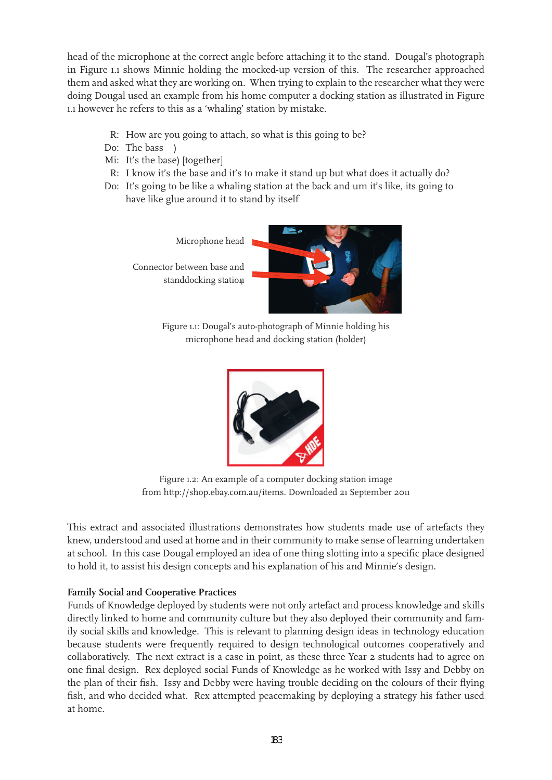head of the microphone at the correct angle before attaching it to the stand. Dougal's photograph in Figure 1.1 shows Minnie holding the mocked-up version of this. The researcher approached them and asked what they are working on. When trying to explain to the researcher what they were doing Dougal used an example from his home computer a docking station as illustrated in Figure 1.1 however he refers to this as a 'whaling' station by mistake.

- R: How are you going to attach, so what is this going to be?
- Do: The bass )
- Mi: It's the base) [together]
- R: I know it's the base and it's to make it stand up but what does it actually do?
- Do: It's going to be like a whaling station at the back and um it's like, its going to have like glue around it to stand by itself

Microphone Microphone head

standdocking station Connector between base and



Figure 1.1: Dougal's auto-photograph of Minnie holding his microphone head and docking station (holder)



Figure 1.2: An example of a computer docking station image from http://shop.ebay.com.au/items. Downloaded 21 September 2011

This extract and associated illustrations demonstrates how students made use of artefacts they knew, understood and used at home and in their community to make sense of learning undertaken at school. In this case Dougal employed an idea of one thing slotting into a specific place designed to hold it, to assist his design concepts and his explanation of his and Minnie's design.

## **Family Social and Cooperative Practices**

Funds of Knowledge deployed by students were not only artefact and process knowledge and skills directly linked to home and community culture but they also deployed their community and family social skills and knowledge. This is relevant to planning design ideas in technology education because students were frequently required to design technological outcomes cooperatively and collaboratively. The next extract is a case in point, as these three Year 2 students had to agree on one final design. Rex deployed social Funds of Knowledge as he worked with Issy and Debby on the plan of their fish. Issy and Debby were having trouble deciding on the colours of their flying fish, and who decided what. Rex attempted peacemaking by deploying a strategy his father used at home.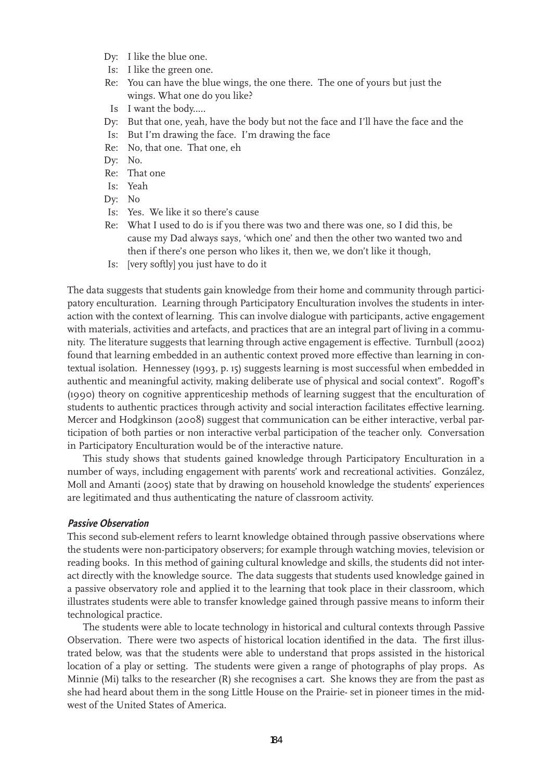- Dy: I like the blue one.
- Is: I like the green one.
- Re: You can have the blue wings, the one there. The one of yours but just the wings. What one do you like?
- Is I want the body.....
- Dy: But that one, yeah, have the body but not the face and I'll have the face and the
- Is: But I'm drawing the face. I'm drawing the face
- Re: No, that one. That one, eh
- Dy: No.
- Re: That one
- Is: Yeah
- Dy: No
- Is: Yes. We like it so there's cause
- Re: What I used to do is if you there was two and there was one, so I did this, be cause my Dad always says, 'which one' and then the other two wanted two and then if there's one person who likes it, then we, we don't like it though,
- Is: [very softly] you just have to do it

The data suggests that students gain knowledge from their home and community through participatory enculturation. Learning through Participatory Enculturation involves the students in interaction with the context of learning. This can involve dialogue with participants, active engagement with materials, activities and artefacts, and practices that are an integral part of living in a community. The literature suggests that learning through active engagement is effective. Turnbull (2002) found that learning embedded in an authentic context proved more effective than learning in contextual isolation. Hennessey (1993, p. 15) suggests learning is most successful when embedded in authentic and meaningful activity, making deliberate use of physical and social context". Rogoff's (1990) theory on cognitive apprenticeship methods of learning suggest that the enculturation of students to authentic practices through activity and social interaction facilitates effective learning. Mercer and Hodgkinson (2008) suggest that communication can be either interactive, verbal participation of both parties or non interactive verbal participation of the teacher only. Conversation in Participatory Enculturation would be of the interactive nature.

This study shows that students gained knowledge through Participatory Enculturation in a number of ways, including engagement with parents' work and recreational activities. González, Moll and Amanti (2005) state that by drawing on household knowledge the students' experiences are legitimated and thus authenticating the nature of classroom activity.

#### **Passive Observation**

This second sub-element refers to learnt knowledge obtained through passive observations where the students were non-participatory observers; for example through watching movies, television or reading books. In this method of gaining cultural knowledge and skills, the students did not interact directly with the knowledge source. The data suggests that students used knowledge gained in a passive observatory role and applied it to the learning that took place in their classroom, which illustrates students were able to transfer knowledge gained through passive means to inform their technological practice.

The students were able to locate technology in historical and cultural contexts through Passive Observation. There were two aspects of historical location identified in the data. The first illustrated below, was that the students were able to understand that props assisted in the historical location of a play or setting. The students were given a range of photographs of play props. As Minnie (Mi) talks to the researcher (R) she recognises a cart. She knows they are from the past as she had heard about them in the song Little House on the Prairie- set in pioneer times in the midwest of the United States of America.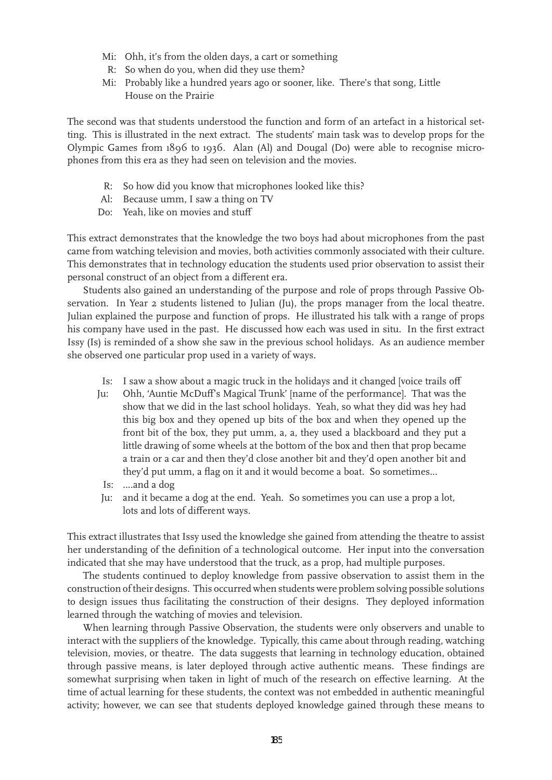- Mi: Ohh, it's from the olden days, a cart or something
- R: So when do you, when did they use them?
- Mi: Probably like a hundred years ago or sooner, like. There's that song, Little House on the Prairie

The second was that students understood the function and form of an artefact in a historical setting. This is illustrated in the next extract. The students' main task was to develop props for the Olympic Games from 1896 to 1936. Alan (Al) and Dougal (Do) were able to recognise microphones from this era as they had seen on television and the movies.

- R: So how did you know that microphones looked like this?
- Al: Because umm, I saw a thing on TV
- Do: Yeah, like on movies and stuff

This extract demonstrates that the knowledge the two boys had about microphones from the past came from watching television and movies, both activities commonly associated with their culture. This demonstrates that in technology education the students used prior observation to assist their personal construct of an object from a different era.

Students also gained an understanding of the purpose and role of props through Passive Observation. In Year 2 students listened to Julian (Ju), the props manager from the local theatre. Julian explained the purpose and function of props. He illustrated his talk with a range of props his company have used in the past. He discussed how each was used in situ. In the first extract Issy (Is) is reminded of a show she saw in the previous school holidays. As an audience member she observed one particular prop used in a variety of ways.

- Is: I saw a show about a magic truck in the holidays and it changed [voice trails off
- Ju: Ohh, 'Auntie McDuff's Magical Trunk' [name of the performance]. That was the show that we did in the last school holidays. Yeah, so what they did was hey had this big box and they opened up bits of the box and when they opened up the front bit of the box, they put umm, a, a, they used a blackboard and they put a little drawing of some wheels at the bottom of the box and then that prop became a train or a car and then they'd close another bit and they'd open another bit and they'd put umm, a flag on it and it would become a boat. So sometimes...
	- Is: ....and a dog
- Ju: and it became a dog at the end. Yeah. So sometimes you can use a prop a lot, lots and lots of different ways.

This extract illustrates that Issy used the knowledge she gained from attending the theatre to assist her understanding of the definition of a technological outcome. Her input into the conversation indicated that she may have understood that the truck, as a prop, had multiple purposes.

The students continued to deploy knowledge from passive observation to assist them in the construction of their designs. This occurred when students were problem solving possible solutions to design issues thus facilitating the construction of their designs. They deployed information learned through the watching of movies and television.

When learning through Passive Observation, the students were only observers and unable to interact with the suppliers of the knowledge. Typically, this came about through reading, watching television, movies, or theatre. The data suggests that learning in technology education, obtained through passive means, is later deployed through active authentic means. These findings are somewhat surprising when taken in light of much of the research on effective learning. At the time of actual learning for these students, the context was not embedded in authentic meaningful activity; however, we can see that students deployed knowledge gained through these means to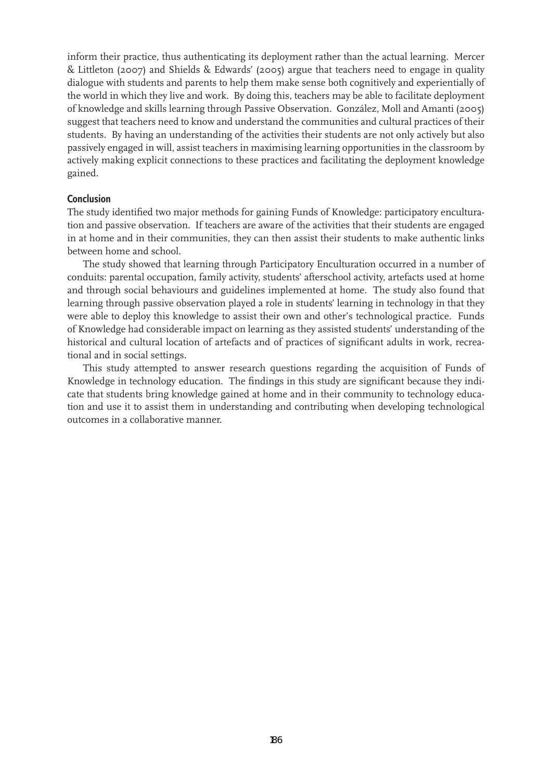inform their practice, thus authenticating its deployment rather than the actual learning. Mercer & Littleton (2007) and Shields & Edwards' (2005) argue that teachers need to engage in quality dialogue with students and parents to help them make sense both cognitively and experientially of the world in which they live and work. By doing this, teachers may be able to facilitate deployment of knowledge and skills learning through Passive Observation. González, Moll and Amanti (2005) suggest that teachers need to know and understand the communities and cultural practices of their students. By having an understanding of the activities their students are not only actively but also passively engaged in will, assist teachers in maximising learning opportunities in the classroom by actively making explicit connections to these practices and facilitating the deployment knowledge gained.

## **Conclusion**

The study identified two major methods for gaining Funds of Knowledge: participatory enculturation and passive observation. If teachers are aware of the activities that their students are engaged in at home and in their communities, they can then assist their students to make authentic links between home and school.

The study showed that learning through Participatory Enculturation occurred in a number of conduits: parental occupation, family activity, students' afterschool activity, artefacts used at home and through social behaviours and guidelines implemented at home. The study also found that learning through passive observation played a role in students' learning in technology in that they were able to deploy this knowledge to assist their own and other's technological practice. Funds of Knowledge had considerable impact on learning as they assisted students' understanding of the historical and cultural location of artefacts and of practices of significant adults in work, recreational and in social settings.

This study attempted to answer research questions regarding the acquisition of Funds of Knowledge in technology education. The findings in this study are significant because they indicate that students bring knowledge gained at home and in their community to technology education and use it to assist them in understanding and contributing when developing technological outcomes in a collaborative manner.